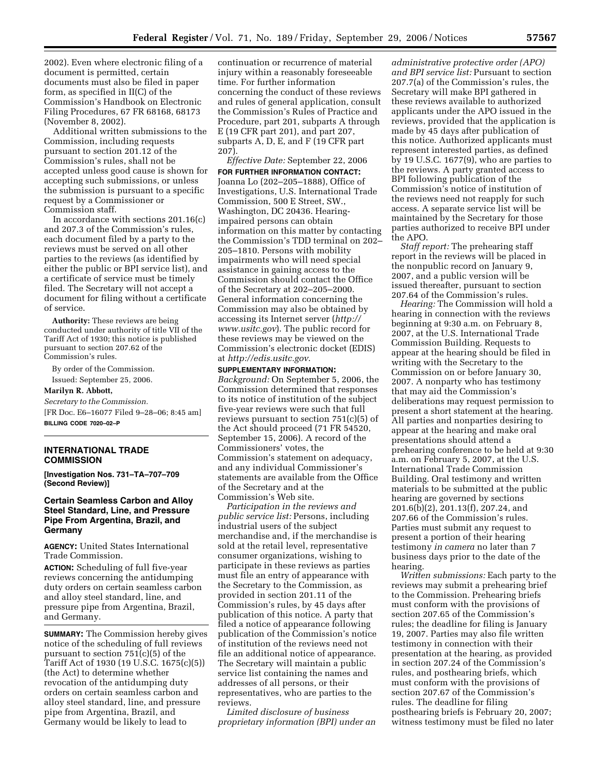2002). Even where electronic filing of a document is permitted, certain documents must also be filed in paper form, as specified in II(C) of the Commission's Handbook on Electronic Filing Procedures, 67 FR 68168, 68173 (November 8, 2002).

Additional written submissions to the Commission, including requests pursuant to section 201.12 of the Commission's rules, shall not be accepted unless good cause is shown for accepting such submissions, or unless the submission is pursuant to a specific request by a Commissioner or Commission staff.

In accordance with sections 201.16(c) and 207.3 of the Commission's rules, each document filed by a party to the reviews must be served on all other parties to the reviews (as identified by either the public or BPI service list), and a certificate of service must be timely filed. The Secretary will not accept a document for filing without a certificate of service.

**Authority:** These reviews are being conducted under authority of title VII of the Tariff Act of 1930; this notice is published pursuant to section 207.62 of the Commission's rules.

By order of the Commission.

Issued: September 25, 2006.

#### **Marilyn R. Abbott,**

*Secretary to the Commission.*  [FR Doc. E6–16077 Filed 9–28–06; 8:45 am]

**BILLING CODE 7020–02–P** 

## **INTERNATIONAL TRADE COMMISSION**

**[Investigation Nos. 731–TA–707–709 (Second Review)]** 

## **Certain Seamless Carbon and Alloy Steel Standard, Line, and Pressure Pipe From Argentina, Brazil, and Germany**

**AGENCY:** United States International Trade Commission.

**ACTION:** Scheduling of full five-year reviews concerning the antidumping duty orders on certain seamless carbon and alloy steel standard, line, and pressure pipe from Argentina, Brazil, and Germany.

**SUMMARY:** The Commission hereby gives notice of the scheduling of full reviews pursuant to section 751(c)(5) of the Tariff Act of 1930 (19 U.S.C. 1675(c)(5)) (the Act) to determine whether revocation of the antidumping duty orders on certain seamless carbon and alloy steel standard, line, and pressure pipe from Argentina, Brazil, and Germany would be likely to lead to

continuation or recurrence of material injury within a reasonably foreseeable time. For further information concerning the conduct of these reviews and rules of general application, consult the Commission's Rules of Practice and Procedure, part 201, subparts A through E (19 CFR part 201), and part 207, subparts A, D, E, and F (19 CFR part 207).

*Effective Date:* September 22, 2006

**FOR FURTHER INFORMATION CONTACT:**  Joanna Lo (202–205–1888), Office of Investigations, U.S. International Trade Commission, 500 E Street, SW., Washington, DC 20436. Hearingimpaired persons can obtain information on this matter by contacting the Commission's TDD terminal on 202– 205–1810. Persons with mobility impairments who will need special assistance in gaining access to the Commission should contact the Office of the Secretary at 202–205–2000. General information concerning the Commission may also be obtained by accessing its Internet server (*http:// www.usitc.gov*). The public record for these reviews may be viewed on the Commission's electronic docket (EDIS) at *http://edis.usitc.gov*.

#### **SUPPLEMENTARY INFORMATION:**

*Background:* On September 5, 2006, the Commission determined that responses to its notice of institution of the subject five-year reviews were such that full reviews pursuant to section 751(c)(5) of the Act should proceed (71 FR 54520, September 15, 2006). A record of the Commissioners' votes, the Commission's statement on adequacy, and any individual Commissioner's statements are available from the Office of the Secretary and at the Commission's Web site.

*Participation in the reviews and public service list:* Persons, including industrial users of the subject merchandise and, if the merchandise is sold at the retail level, representative consumer organizations, wishing to participate in these reviews as parties must file an entry of appearance with the Secretary to the Commission, as provided in section 201.11 of the Commission's rules, by 45 days after publication of this notice. A party that filed a notice of appearance following publication of the Commission's notice of institution of the reviews need not file an additional notice of appearance. The Secretary will maintain a public service list containing the names and addresses of all persons, or their representatives, who are parties to the reviews.

*Limited disclosure of business proprietary information (BPI) under an* 

*administrative protective order (APO) and BPI service list:* Pursuant to section 207.7(a) of the Commission's rules, the Secretary will make BPI gathered in these reviews available to authorized applicants under the APO issued in the reviews, provided that the application is made by 45 days after publication of this notice. Authorized applicants must represent interested parties, as defined by 19 U.S.C. 1677(9), who are parties to the reviews. A party granted access to BPI following publication of the Commission's notice of institution of the reviews need not reapply for such access. A separate service list will be maintained by the Secretary for those parties authorized to receive BPI under the APO.

*Staff report:* The prehearing staff report in the reviews will be placed in the nonpublic record on January 9, 2007, and a public version will be issued thereafter, pursuant to section 207.64 of the Commission's rules.

*Hearing:* The Commission will hold a hearing in connection with the reviews beginning at 9:30 a.m. on February 8, 2007, at the U.S. International Trade Commission Building. Requests to appear at the hearing should be filed in writing with the Secretary to the Commission on or before January 30, 2007. A nonparty who has testimony that may aid the Commission's deliberations may request permission to present a short statement at the hearing. All parties and nonparties desiring to appear at the hearing and make oral presentations should attend a prehearing conference to be held at 9:30 a.m. on February 5, 2007, at the U.S. International Trade Commission Building. Oral testimony and written materials to be submitted at the public hearing are governed by sections 201.6(b)(2), 201.13(f), 207.24, and 207.66 of the Commission's rules. Parties must submit any request to present a portion of their hearing testimony *in camera* no later than 7 business days prior to the date of the hearing.

*Written submissions:* Each party to the reviews may submit a prehearing brief to the Commission. Prehearing briefs must conform with the provisions of section 207.65 of the Commission's rules; the deadline for filing is January 19, 2007. Parties may also file written testimony in connection with their presentation at the hearing, as provided in section 207.24 of the Commission's rules, and posthearing briefs, which must conform with the provisions of section 207.67 of the Commission's rules. The deadline for filing posthearing briefs is February 20, 2007; witness testimony must be filed no later